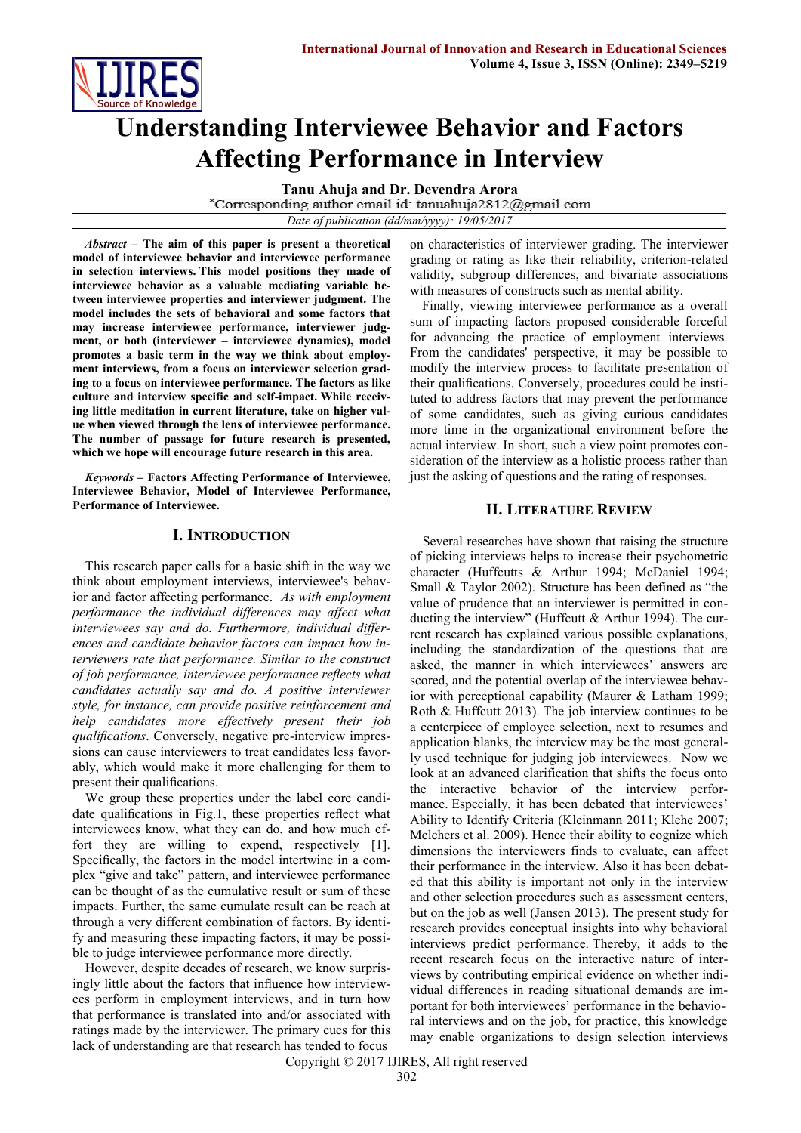

# **Understanding Interviewee Behavior and Factors Affecting Performance in Interview**

**Tanu Ahuja and Dr. Devendra Arora**<br>
\*Corresponding author email id: tanuahuja2812@gmail.com *Date of publication (dd/mm/yyyy): 19/05/2017*

*Abstract* **– The aim of this paper is present a theoretical model of interviewee behavior and interviewee performance in selection interviews. This model positions they made of interviewee behavior as a valuable mediating variable between interviewee properties and interviewer judgment. The model includes the sets of behavioral and some factors that may increase interviewee performance, interviewer judgment, or both (interviewer – interviewee dynamics), model promotes a basic term in the way we think about employment interviews, from a focus on interviewer selection grading to a focus on interviewee performance. The factors as like culture and interview specific and self-impact. While receiving little meditation in current literature, take on higher value when viewed through the lens of interviewee performance. The number of passage for future research is presented, which we hope will encourage future research in this area.**

*Keywords* **– Factors Affecting Performance of Interviewee, Interviewee Behavior, Model of Interviewee Performance, Performance of Interviewee.**

#### **I. INTRODUCTION**

This research paper calls for a basic shift in the way we think about employment interviews, interviewee's behavior and factor affecting performance. *As with employment performance the individual differences may affect what interviewees say and do. Furthermore, individual differences and candidate behavior factors can impact how interviewers rate that performance. Similar to the construct of job performance, interviewee performance reflects what candidates actually say and do. A positive interviewer style, for instance, can provide positive reinforcement and help candidates more effectively present their job qualifications*. Conversely, negative pre-interview impressions can cause interviewers to treat candidates less favorably, which would make it more challenging for them to present their qualifications.

We group these properties under the label core candidate qualifications in Fig.1, these properties reflect what interviewees know, what they can do, and how much effort they are willing to expend, respectively [1]. Specifically, the factors in the model intertwine in a complex "give and take" pattern, and interviewee performance can be thought of as the cumulative result or sum of these impacts. Further, the same cumulate result can be reach at through a very different combination of factors. By identify and measuring these impacting factors, it may be possible to judge interviewee performance more directly.

However, despite decades of research, we know surprisingly little about the factors that influence how interviewees perform in employment interviews, and in turn how that performance is translated into and/or associated with ratings made by the interviewer. The primary cues for this lack of understanding are that research has tended to focus

on characteristics of interviewer grading. The interviewer grading or rating as like their reliability, criterion-related validity, subgroup differences, and bivariate associations with measures of constructs such as mental ability.

Finally, viewing interviewee performance as a overall sum of impacting factors proposed considerable forceful for advancing the practice of employment interviews. From the candidates' perspective, it may be possible to modify the interview process to facilitate presentation of their qualifications. Conversely, procedures could be instituted to address factors that may prevent the performance of some candidates, such as giving curious candidates more time in the organizational environment before the actual interview. In short, such a view point promotes consideration of the interview as a holistic process rather than just the asking of questions and the rating of responses.

# **II. LITERATURE REVIEW**

Several researches have shown that raising the structure of picking interviews helps to increase their psychometric character (Huffcutts & Arthur 1994; McDaniel 1994; Small & Taylor 2002). Structure has been defined as "the value of prudence that an interviewer is permitted in conducting the interview" (Huffcutt & Arthur 1994). The current research has explained various possible explanations, including the standardization of the questions that are asked, the manner in which interviewees' answers are scored, and the potential overlap of the interviewee behavior with perceptional capability (Maurer & Latham 1999; Roth & Huffcutt 2013). The job interview continues to be a centerpiece of employee selection, next to resumes and application blanks, the interview may be the most generally used technique for judging job interviewees. Now we look at an advanced clarification that shifts the focus onto the interactive behavior of the interview performance. Especially, it has been debated that interviewees' Ability to Identify Criteria (Kleinmann 2011; Klehe 2007; Melchers et al. 2009). Hence their ability to cognize which dimensions the interviewers finds to evaluate, can affect their performance in the interview. Also it has been debated that this ability is important not only in the interview and other selection procedures such as assessment centers, but on the job as well (Jansen 2013). The present study for research provides conceptual insights into why behavioral interviews predict performance. Thereby, it adds to the recent research focus on the interactive nature of interviews by contributing empirical evidence on whether individual differences in reading situational demands are important for both interviewees' performance in the behavioral interviews and on the job, for practice, this knowledge may enable organizations to design selection interviews

Copyright © 2017 IJIRES, All right reserved 302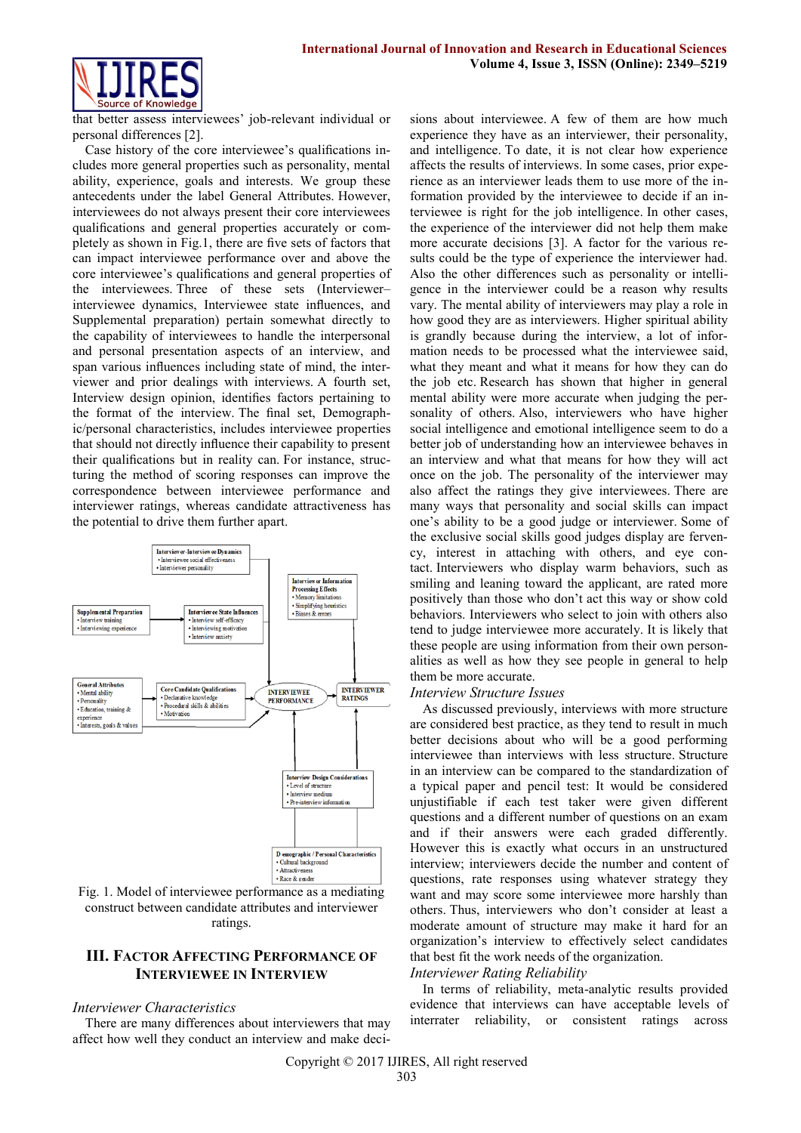

that better assess interviewees' job-relevant individual or personal differences [2].

Case history of the core interviewee's qualifications includes more general properties such as personality, mental ability, experience, goals and interests. We group these antecedents under the label General Attributes. However, interviewees do not always present their core interviewees qualifications and general properties accurately or completely as shown in Fig.1, there are five sets of factors that can impact interviewee performance over and above the core interviewee's qualifications and general properties of the interviewees. Three of these sets (Interviewer– interviewee dynamics, Interviewee state influences, and Supplemental preparation) pertain somewhat directly to the capability of interviewees to handle the interpersonal and personal presentation aspects of an interview, and span various influences including state of mind, the interviewer and prior dealings with interviews. A fourth set, Interview design opinion, identifies factors pertaining to the format of the interview. The final set, Demographic/personal characteristics, includes interviewee properties that should not directly influence their capability to present their qualifications but in reality can. For instance, structuring the method of scoring responses can improve the correspondence between interviewee performance and interviewer ratings, whereas candidate attractiveness has the potential to drive them further apart.



Fig. 1. Model of interviewee performance as a mediating construct between candidate attributes and interviewer ratings.

# **III. FACTOR AFFECTING PERFORMANCE OF INTERVIEWEE IN INTERVIEW**

#### *Interviewer Characteristics*

There are many differences about interviewers that may affect how well they conduct an interview and make decisions about interviewee. A few of them are how much experience they have as an interviewer, their personality, and intelligence. To date, it is not clear how experience affects the results of interviews. In some cases, prior experience as an interviewer leads them to use more of the information provided by the interviewee to decide if an interviewee is right for the job intelligence. In other cases, the experience of the interviewer did not help them make more accurate decisions [3]. A factor for the various results could be the type of experience the interviewer had. Also the other differences such as personality or intelligence in the interviewer could be a reason why results vary. The mental ability of interviewers may play a role in how good they are as interviewers. Higher spiritual ability is grandly because during the interview, a lot of information needs to be processed what the interviewee said, what they meant and what it means for how they can do the job etc. Research has shown that higher in general mental ability were more accurate when judging the personality of others. Also, interviewers who have higher social intelligence and emotional intelligence seem to do a better job of understanding how an interviewee behaves in an interview and what that means for how they will act once on the job. The personality of the interviewer may also affect the ratings they give interviewees. There are many ways that personality and social skills can impact one's ability to be a good judge or interviewer. Some of the exclusive social skills good judges display are fervency, interest in attaching with others, and eye contact. Interviewers who display warm behaviors, such as smiling and leaning toward the applicant, are rated more positively than those who don't act this way or show cold behaviors. Interviewers who select to join with others also tend to judge interviewee more accurately. It is likely that these people are using information from their own personalities as well as how they see people in general to help them be more accurate.

#### *Interview Structure Issues*

As discussed previously, interviews with more structure are considered best practice, as they tend to result in much better decisions about who will be a good performing interviewee than interviews with less structure. Structure in an interview can be compared to the standardization of a typical paper and pencil test: It would be considered unjustifiable if each test taker were given different questions and a different number of questions on an exam and if their answers were each graded differently. However this is exactly what occurs in an unstructured interview; interviewers decide the number and content of questions, rate responses using whatever strategy they want and may score some interviewee more harshly than others. Thus, interviewers who don't consider at least a moderate amount of structure may make it hard for an organization's interview to effectively select candidates that best fit the work needs of the organization.

#### *Interviewer Rating Reliability*

In terms of reliability, meta-analytic results provided evidence that interviews can have acceptable levels of interrater reliability, or consistent ratings across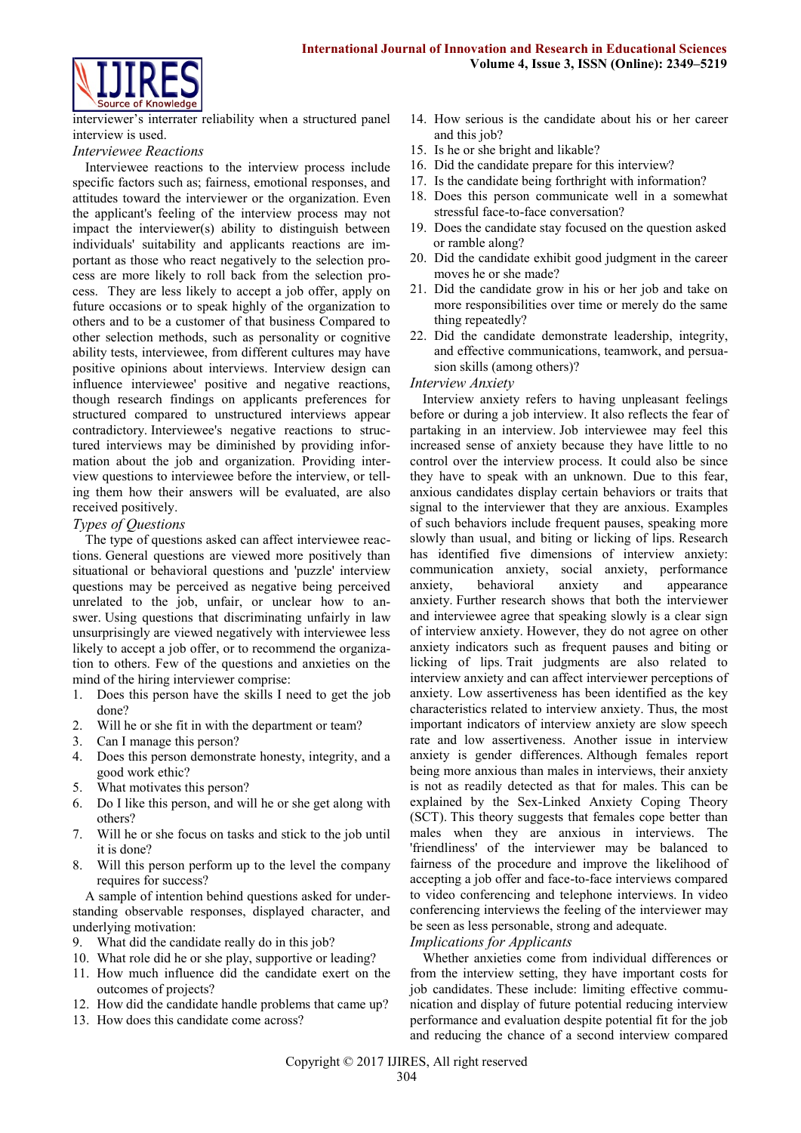

interviewer's interrater reliability when a structured panel interview is used.

#### *Interviewee Reactions*

Interviewee reactions to the interview process include specific factors such as; fairness, emotional responses, and attitudes toward the interviewer or the organization. Even the applicant's feeling of the interview process may not impact the interviewer(s) ability to distinguish between individuals' suitability and applicants reactions are important as those who react negatively to the selection process are more likely to roll back from the selection process. They are less likely to accept a job offer, apply on future occasions or to speak highly of the organization to others and to be a customer of that business Compared to other selection methods, such as personality or cognitive ability tests, interviewee, from different cultures may have positive opinions about interviews. Interview design can influence interviewee' positive and negative reactions, though research findings on applicants preferences for structured compared to unstructured interviews appear contradictory. Interviewee's negative reactions to structured interviews may be diminished by providing information about the job and organization. Providing interview questions to interviewee before the interview, or telling them how their answers will be evaluated, are also received positively.

# *Types of Questions*

The type of questions asked can affect interviewee reactions. General questions are viewed more positively than situational or behavioral questions and 'puzzle' interview questions may be perceived as negative being perceived unrelated to the job, unfair, or unclear how to answer. Using questions that discriminating unfairly in law unsurprisingly are viewed negatively with interviewee less likely to accept a job offer, or to recommend the organization to others. Few of the questions and anxieties on the mind of the hiring interviewer comprise:

- 1. Does this person have the skills I need to get the job done?
- 2. Will he or she fit in with the department or team?
- 3. Can I manage this person?
- 4. Does this person demonstrate honesty, integrity, and a good work ethic?
- 5. What motivates this person?
- 6. Do I like this person, and will he or she get along with others?
- 7. Will he or she focus on tasks and stick to the job until it is done?
- 8. Will this person perform up to the level the company requires for success?

A sample of intention behind questions asked for understanding observable responses, displayed character, and underlying motivation:

- 9. What did the candidate really do in this job?
- 10. What role did he or she play, supportive or leading?
- 11. How much influence did the candidate exert on the outcomes of projects?
- 12. How did the candidate handle problems that came up?
- 13. How does this candidate come across?
- 14. How serious is the candidate about his or her career and this job?
- 15. Is he or she bright and likable?
- 16. Did the candidate prepare for this interview?
- 17. Is the candidate being forthright with information?
- 18. Does this person communicate well in a somewhat stressful face-to-face conversation?
- 19. Does the candidate stay focused on the question asked or ramble along?
- 20. Did the candidate exhibit good judgment in the career moves he or she made?
- 21. Did the candidate grow in his or her job and take on more responsibilities over time or merely do the same thing repeatedly?
- 22. Did the candidate demonstrate leadership, integrity, and effective communications, teamwork, and persuasion skills (among others)?

#### *Interview Anxiety*

Interview anxiety refers to having unpleasant feelings before or during a job interview. It also reflects the fear of partaking in an interview. Job interviewee may feel this increased sense of anxiety because they have little to no control over the interview process. It could also be since they have to speak with an unknown. Due to this fear, anxious candidates display certain behaviors or traits that signal to the interviewer that they are anxious. Examples of such behaviors include frequent pauses, speaking more slowly than usual, and biting or licking of lips. Research has identified five dimensions of interview anxiety: communication anxiety, social anxiety, performance anxiety, behavioral anxiety and appearance anxiety. Further research shows that both the interviewer and interviewee agree that speaking slowly is a clear sign of interview anxiety. However, they do not agree on other anxiety indicators such as frequent pauses and biting or licking of lips. Trait judgments are also related to interview anxiety and can affect interviewer perceptions of anxiety. Low assertiveness has been identified as the key characteristics related to interview anxiety. Thus, the most important indicators of interview anxiety are slow speech rate and low assertiveness. Another issue in interview anxiety is gender differences. Although females report being more anxious than males in interviews, their anxiety is not as readily detected as that for males. This can be explained by the Sex-Linked Anxiety Coping Theory (SCT). This theory suggests that females cope better than males when they are anxious in interviews. The 'friendliness' of the interviewer may be balanced to fairness of the procedure and improve the likelihood of accepting a job offer and face-to-face interviews compared to video conferencing and telephone interviews. In video conferencing interviews the feeling of the interviewer may be seen as less personable, strong and adequate.

#### *Implications for Applicants*

Whether anxieties come from individual differences or from the interview setting, they have important costs for job candidates. These include: limiting effective communication and display of future potential reducing interview performance and evaluation despite potential fit for the job and reducing the chance of a second interview compared

Copyright © 2017 IJIRES, All right reserved